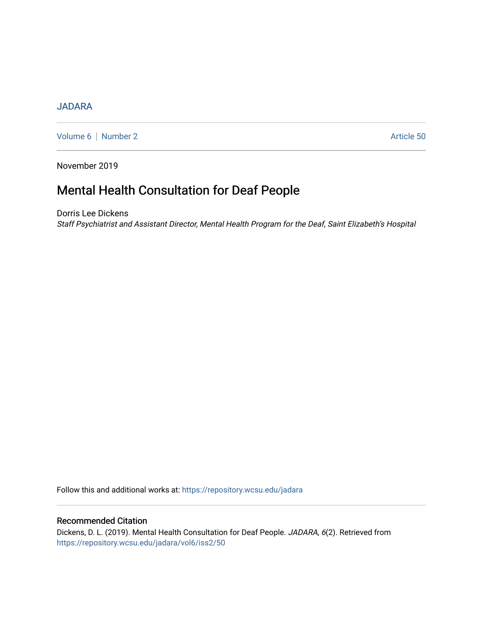## [JADARA](https://repository.wcsu.edu/jadara)

[Volume 6](https://repository.wcsu.edu/jadara/vol6) | [Number 2](https://repository.wcsu.edu/jadara/vol6/iss2) Article 50

November 2019

# Mental Health Consultation for Deaf People

Dorris Lee Dickens Staff Psychiatrist and Assistant Director, Mental Health Program for the Deaf, Saint Elizabeth's Hospital

Follow this and additional works at: [https://repository.wcsu.edu/jadara](https://repository.wcsu.edu/jadara?utm_source=repository.wcsu.edu%2Fjadara%2Fvol6%2Fiss2%2F50&utm_medium=PDF&utm_campaign=PDFCoverPages)

### Recommended Citation

Dickens, D. L. (2019). Mental Health Consultation for Deaf People. JADARA, 6(2). Retrieved from [https://repository.wcsu.edu/jadara/vol6/iss2/50](https://repository.wcsu.edu/jadara/vol6/iss2/50?utm_source=repository.wcsu.edu%2Fjadara%2Fvol6%2Fiss2%2F50&utm_medium=PDF&utm_campaign=PDFCoverPages)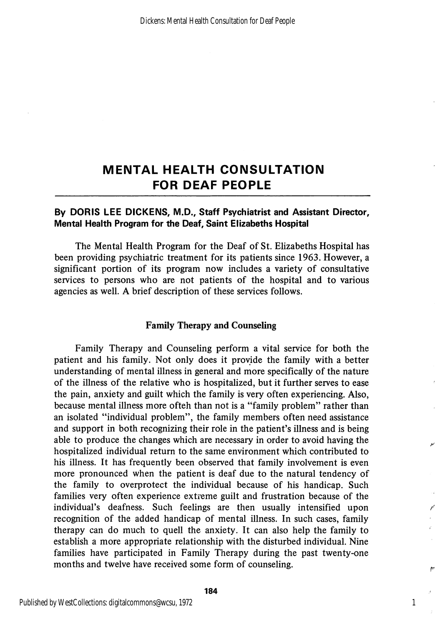# MENTAL HEALTH CONSULTATION FOR DEAF PEOPLE

#### By DORIS LEE DICKENS, M.D., Staff Psychiatrist and Assistant Director, Mental Health Program for the Deaf, Saint Elizabeths Hospital

The Mental Health Program for the Deaf of St. Elizabeths Hospital has been providing psychiatric treatment for its patients since 1963. However, a significant portion of its program now includes a variety of consultative services to persons who are not patients of the hospital and to various agencies as well. A brief description of these services follows.

#### Family Therapy and Counseling

Family Therapy and Counseling perform a vital service for both the patient and his family. Not only does it provide the family with a better understanding of mental illness in general and more specifically of the nature of the illness of the relative who is hospitalized, but it further serves to ease the pain, anxiety and guilt which the family is very often experiencing. Also, because mental illness more ofteh than not is a "family problem" rather than an isolated "individual problem", the family members often need assistance and support in both recognizing their role in the patient's illness and is being able to produce the changes which are necessary in order to avoid having the hospitalized individual return to the same environment which contributed to his illness. It has frequently been observed that family involvement is even more pronounced when the patient is deaf due to the natural tendency of the family to overprotect the individual because of his handicap. Such families very often experience extreme guilt and frustration because of the individual's deafness. Such feelings are then usually intensified upon recognition of the added handicap of mental illness. In such cases, family therapy can do much to quell the anxiety. It can also help the family to establish a more appropriate relationship with the disturbed individual. Nine families have participated in Family Therapy during the past twenty-one months and twelve have received some form of counseling.

1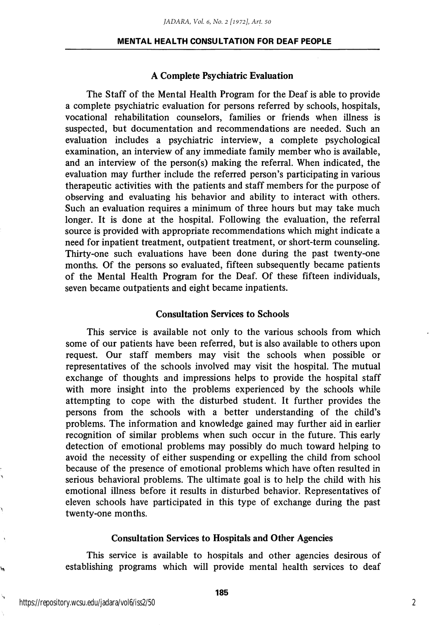#### MENTAL HEALTH CONSULTATION FOR DEAF PEOPLE

#### A Complete Psychiatric Evaluation

The Staff of the Mental Health Program for the Deaf is able to provide a complete psychiatric evaluation for persons referred by schools, hospitals, vocational rehabilitation counselors, families or friends when illness is suspected, but documentation and recommendations are needed. Such an evaluation includes a psychiatric interview, a complete psychological examination, an interview of any immediate family member who is available, and an interview of the person(s) making the referral. When indicated, the evaluation may further include the referred person's participating in various therapeutic activities with the patients and staff members for the purpose of observing and evaluating his behavior and ability to interact with others. Such an evaluation requires a minimum of three hours but may take much longer. It is done at the hospital. Following the evaluation, the referral source is provided with appropriate recommendations which might indicate a need for inpatient treatment, outpatient treatment, or short-term counseling. Thirty-one such evaluations have been done during the past twenty-one months. Of the persons so evaluated, fifteen subsequently became patients of the Mental Health Program for the Deaf. Of these fifteen individuals, seven became outpatients and eight became inpatients.

#### Consultation Services to Schools

This service is available not only to the various schools from which some of our patients have been referred, but is also available to others upon request. Our staff members may visit the schools when possible or representatives of the schools involved may visit the hospital. The mutual exchange of thoughts and impressions helps to provide the hospital staff with more insight into the problems experienced by the schools while attempting to cope with the disturbed student. It further provides the persons from the schools with a better understanding of the child's problems. The information and knowledge gained may further aid in earlier recognition of similar problems when such occur in the future. This early detection of emotional problems may possibly do much toward helping to avoid the necessity of either suspending or expelling the child from school because of the presence of emotional problems which have often resulted in serious behavioral problems. The ultimate goal is to help the child with his emotional illness before it results in disturbed behavior. Representatives of eleven schools have participated in this type of exchange during the past twenty-one months.

#### Consultation Services to Hospitals and Other Agencies

This service is available to hospitals and other agencies desirous of establishing programs which will provide mental health services to deaf

۱.,

٦